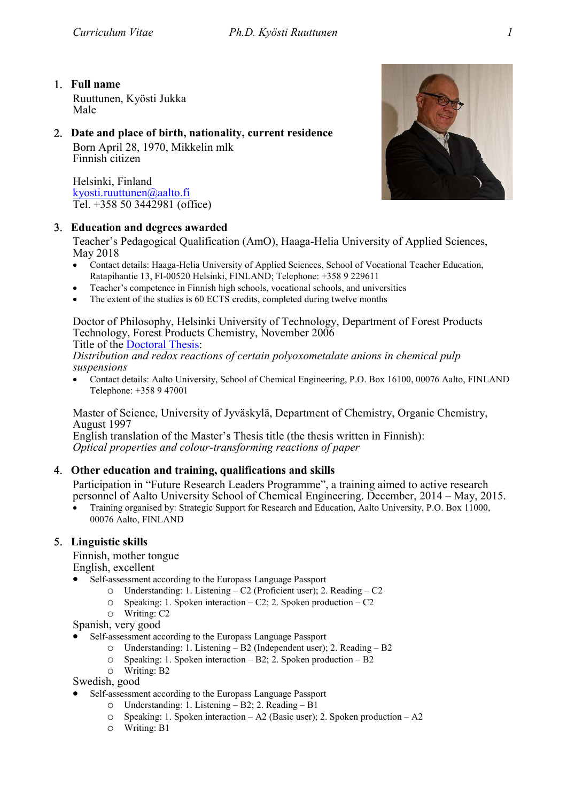# Full name

Ruuttunen, Kyösti Jukka Male

# Date and place of birth, nationality, current residence

Born April 28, 1970, Mikkelin mlk Finnish citizen

Helsinki, Finland kyosti.ruuttunen@aalto.fi Tel. +358 50 3442981 (office)

# Education and degrees awarded

Teacher's Pedagogical Qualification (AmO), Haaga-Helia University of Applied Sciences, May 2018

- Contact details: Haaga-Helia University of Applied Sciences, School of Vocational Teacher Education, Ratapihantie 13, FI-00520 Helsinki, FINLAND; Telephone: +358 9 229611
- Teacher's competence in Finnish high schools, vocational schools, and universities
- The extent of the studies is 60 ECTS credits, completed during twelve months

Doctor of Philosophy, Helsinki University of Technology, Department of Forest Products Technology, Forest Products Chemistry, November 2006 Title of the Doctoral Thesis:

Distribution and redox reactions of certain polyoxometalate anions in chemical pulp suspensions

 Contact details: Aalto University, School of Chemical Engineering, P.O. Box 16100, 00076 Aalto, FINLAND Telephone: +358 9 47001

Master of Science, University of Jyväskylä, Department of Chemistry, Organic Chemistry, August 1997

English translation of the Master's Thesis title (the thesis written in Finnish): Optical properties and colour-transforming reactions of paper

# Other education and training, qualifications and skills

Participation in "Future Research Leaders Programme", a training aimed to active research personnel of Aalto University School of Chemical Engineering. December, 2014 – May, 2015.

 Training organised by: Strategic Support for Research and Education, Aalto University, P.O. Box 11000, 00076 Aalto, FINLAND

# 5. Linguistic skills

Finnish, mother tongue English, excellent

- Self-assessment according to the Europass Language Passport
	- o Understanding: 1. Listening C2 (Proficient user); 2. Reading C2
	- o Speaking: 1. Spoken interaction C2; 2. Spoken production C2
	- o Writing: C2

Spanish, very good

- Self-assessment according to the Europass Language Passport
	- o Understanding: 1. Listening B2 (Independent user); 2. Reading B2
	- o Speaking: 1. Spoken interaction B2; 2. Spoken production B2
	- o Writing: B2

Swedish, good

- Self-assessment according to the Europass Language Passport
	- o Understanding: 1. Listening B2; 2. Reading B1
	- o Speaking: 1. Spoken interaction A2 (Basic user); 2. Spoken production A2
	- o Writing: B1

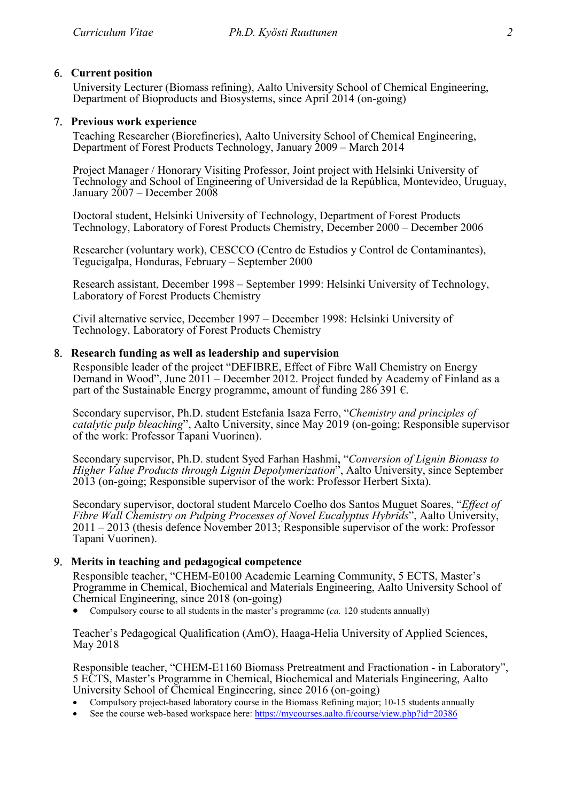## 6. Current position

University Lecturer (Biomass refining), Aalto University School of Chemical Engineering, Department of Bioproducts and Biosystems, since April 2014 (on-going)

## 7. Previous work experience

Teaching Researcher (Biorefineries), Aalto University School of Chemical Engineering, Department of Forest Products Technology, January 2009 – March 2014

Project Manager / Honorary Visiting Professor, Joint project with Helsinki University of Technology and School of Engineering of Universidad de la República, Montevideo, Uruguay, January 2007 – December 2008

Doctoral student, Helsinki University of Technology, Department of Forest Products Technology, Laboratory of Forest Products Chemistry, December 2000 – December 2006

Researcher (voluntary work), CESCCO (Centro de Estudios y Control de Contaminantes), Tegucigalpa, Honduras, February – September 2000

Research assistant, December 1998 – September 1999: Helsinki University of Technology, Laboratory of Forest Products Chemistry

Civil alternative service, December 1997 – December 1998: Helsinki University of Technology, Laboratory of Forest Products Chemistry

### Research funding as well as leadership and supervision

Responsible leader of the project "DEFIBRE, Effect of Fibre Wall Chemistry on Energy Demand in Wood", June 2011 – December 2012. Project funded by Academy of Finland as a part of the Sustainable Energy programme, amount of funding 286 391  $\epsilon$ .

Secondary supervisor, Ph.D. student Estefania Isaza Ferro, "Chemistry and principles of catalytic pulp bleaching", Aalto University, since May 2019 (on-going; Responsible supervisor of the work: Professor Tapani Vuorinen).

Secondary supervisor, Ph.D. student Syed Farhan Hashmi, "Conversion of Lignin Biomass to Higher Value Products through Lignin Depolymerization", Aalto University, since September 2013 (on-going; Responsible supervisor of the work: Professor Herbert Sixta).

Secondary supervisor, doctoral student Marcelo Coelho dos Santos Muguet Soares, "Effect of Fibre Wall Chemistry on Pulping Processes of Novel Eucalyptus Hybrids", Aalto University, 2011 – 2013 (thesis defence November 2013; Responsible supervisor of the work: Professor Tapani Vuorinen).

### Merits in teaching and pedagogical competence

Responsible teacher, "CHEM-E0100 Academic Learning Community, 5 ECTS, Master's Programme in Chemical, Biochemical and Materials Engineering, Aalto University School of Chemical Engineering, since 2018 (on-going)

• Compulsory course to all students in the master's programme  $(ca. 120$  students annually)

Teacher's Pedagogical Qualification (AmO), Haaga-Helia University of Applied Sciences, May 2018

Responsible teacher, "CHEM-E1160 Biomass Pretreatment and Fractionation - in Laboratory", 5 ECTS, Master's Programme in Chemical, Biochemical and Materials Engineering, Aalto University School of Chemical Engineering, since 2016 (on-going)

- Compulsory project-based laboratory course in the Biomass Refining major; 10-15 students annually
- See the course web-based workspace here: https://mycourses.aalto.fi/course/view.php?id=20386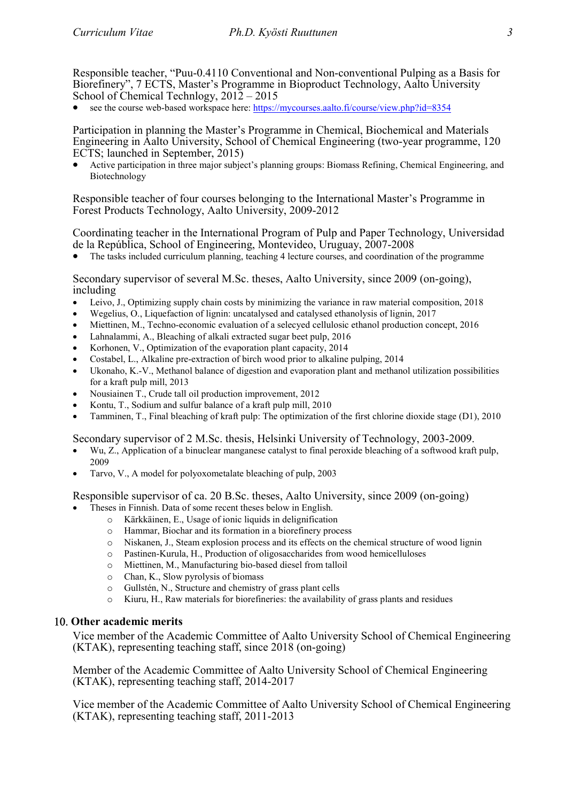Responsible teacher, "Puu-0.4110 Conventional and Non-conventional Pulping as a Basis for Biorefinery", 7 ECTS, Master's Programme in Bioproduct Technology, Aalto University School of Chemical Technlogy, 2012 – 2015

see the course web-based workspace here: https://mycourses.aalto.fi/course/view.php?id=8354

Participation in planning the Master's Programme in Chemical, Biochemical and Materials Engineering in Aalto University, School of Chemical Engineering (two-year programme, 120 ECTS; launched in September, 2015)

 Active participation in three major subject's planning groups: Biomass Refining, Chemical Engineering, and Biotechnology

Responsible teacher of four courses belonging to the International Master's Programme in Forest Products Technology, Aalto University, 2009-2012

Coordinating teacher in the International Program of Pulp and Paper Technology, Universidad de la República, School of Engineering, Montevideo, Uruguay, 2007-2008

The tasks included curriculum planning, teaching 4 lecture courses, and coordination of the programme

#### Secondary supervisor of several M.Sc. theses, Aalto University, since 2009 (on-going), including

- Leivo, J., Optimizing supply chain costs by minimizing the variance in raw material composition, 2018
- Wegelius, O., Liquefaction of lignin: uncatalysed and catalysed ethanolysis of lignin, 2017
- Miettinen, M., Techno-economic evaluation of a selecyed cellulosic ethanol production concept, 2016
- Lahnalammi, A., Bleaching of alkali extracted sugar beet pulp, 2016
- Korhonen, V., Optimization of the evaporation plant capacity, 2014
- Costabel, L., Alkaline pre-extraction of birch wood prior to alkaline pulping, 2014
- Ukonaho, K.-V., Methanol balance of digestion and evaporation plant and methanol utilization possibilities for a kraft pulp mill, 2013
- Nousiainen T., Crude tall oil production improvement, 2012
- Kontu, T., Sodium and sulfur balance of a kraft pulp mill, 2010
- Tamminen, T., Final bleaching of kraft pulp: The optimization of the first chlorine dioxide stage (D1), 2010

### Secondary supervisor of 2 M.Sc. thesis, Helsinki University of Technology, 2003-2009.

- Wu, Z., Application of a binuclear manganese catalyst to final peroxide bleaching of a softwood kraft pulp, 2009
- Tarvo, V., A model for polyoxometalate bleaching of pulp, 2003

### Responsible supervisor of ca. 20 B.Sc. theses, Aalto University, since 2009 (on-going)

- Theses in Finnish. Data of some recent theses below in English.
	- o Kärkkäinen, E., Usage of ionic liquids in delignification
	- o Hammar, Biochar and its formation in a biorefinery process
	- o Niskanen, J., Steam explosion process and its effects on the chemical structure of wood lignin
	- o Pastinen-Kurula, H., Production of oligosaccharides from wood hemicelluloses
	- o Miettinen, M., Manufacturing bio-based diesel from talloil
	- o Chan, K., Slow pyrolysis of biomass
	- o Gullstén, N., Structure and chemistry of grass plant cells
	- $\circ$  Kiuru, H., Raw materials for biorefineries: the availability of grass plants and residues

### 10. Other academic merits

Vice member of the Academic Committee of Aalto University School of Chemical Engineering (KTAK), representing teaching staff, since 2018 (on-going)

Member of the Academic Committee of Aalto University School of Chemical Engineering (KTAK), representing teaching staff, 2014-2017

Vice member of the Academic Committee of Aalto University School of Chemical Engineering (KTAK), representing teaching staff, 2011-2013